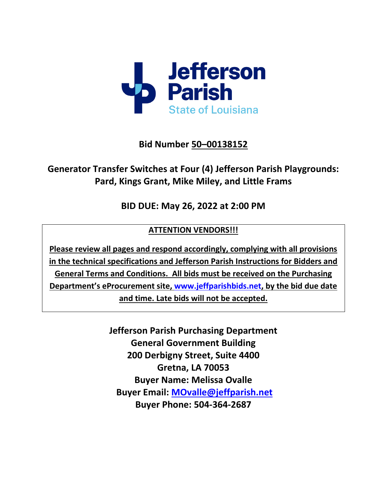

## **Bid Number 50–00138152**

# **Generator Transfer Switches at Four (4) Jefferson Parish Playgrounds: Pard, Kings Grant, Mike Miley, and Little Frams**

## **BID DUE: May 26, 2022 at 2:00 PM**

### **ATTENTION VENDORS!!!**

**Please review all pages and respond accordingly, complying with all provisions in the technical specifications and Jefferson Parish Instructions for Bidders and General Terms and Conditions. All bids must be received on the Purchasing Department's eProcurement site, [www.jeffparishbids.net,](http://www.jeffparishbids.net/) by the bid due date and time. Late bids will not be accepted.**

> **Jefferson Parish Purchasing Department General Government Building 200 Derbigny Street, Suite 4400 Gretna, LA 70053 Buyer Name: Melissa Ovalle Buyer Email: [MOvalle@jeffparish.net](mailto:MOvalle@jeffparish.net) Buyer Phone: 504-364-2687**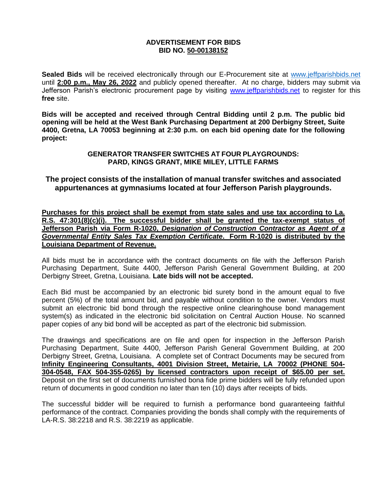#### **ADVERTISEMENT FOR BIDS BID NO. 50-00138152**

**Sealed Bids** will be received electronically through our E-Procurement site at [www.jeffparishbids.net](http://www.jeffparishbids.net/) until **2:00 p.m., May 26, 2022** and publicly opened thereafter. At no charge, bidders may submit via Jefferson Parish's electronic procurement page by visiting [www.jeffparishbids.net](http://www.jeffparishbids.net/) to register for this **free** site.

**Bids will be accepted and received through Central Bidding until 2 p.m. The public bid opening will be held at the West Bank Purchasing Department at 200 Derbigny Street, Suite 4400, Gretna, LA 70053 beginning at 2:30 p.m. on each bid opening date for the following project:**

> **GENERATOR TRANSFER SWITCHES AT FOUR PLAYGROUNDS: PARD, KINGS GRANT, MIKE MILEY, LITTLE FARMS**

**The project consists of the installation of manual transfer switches and associated appurtenances at gymnasiums located at four Jefferson Parish playgrounds.**

**Purchases for this project shall be exempt from state sales and use tax according to La. R.S. 47:301(8)(c)(i). The successful bidder shall be granted the tax-exempt status of Jefferson Parish via Form R-1020,** *Designation of Construction Contractor as Agent of a Governmental Entity Sales Tax Exemption Certificate***. Form R-1020 is distributed by the Louisiana Department of Revenue.**

All bids must be in accordance with the contract documents on file with the Jefferson Parish Purchasing Department, Suite 4400, Jefferson Parish General Government Building, at 200 Derbigny Street, Gretna, Louisiana. **Late bids will not be accepted.**

Each Bid must be accompanied by an electronic bid surety bond in the amount equal to five percent (5%) of the total amount bid, and payable without condition to the owner. Vendors must submit an electronic bid bond through the respective online clearinghouse bond management system(s) as indicated in the electronic bid solicitation on Central Auction House. No scanned paper copies of any bid bond will be accepted as part of the electronic bid submission.

The drawings and specifications are on file and open for inspection in the Jefferson Parish Purchasing Department, Suite 4400, Jefferson Parish General Government Building, at 200 Derbigny Street, Gretna, Louisiana. A complete set of Contract Documents may be secured from **Infinity Engineering Consultants, 4001 Division Street, Metairie, LA 70002 (PHONE 504- 304-0548, FAX 504-355-0265) by licensed contractors upon receipt of \$65.00 per set.**  Deposit on the first set of documents furnished bona fide prime bidders will be fully refunded upon return of documents in good condition no later than ten (10) days after receipts of bids.

The successful bidder will be required to furnish a performance bond guaranteeing faithful performance of the contract. Companies providing the bonds shall comply with the requirements of LA-R.S. 38:2218 and R.S. 38:2219 as applicable.